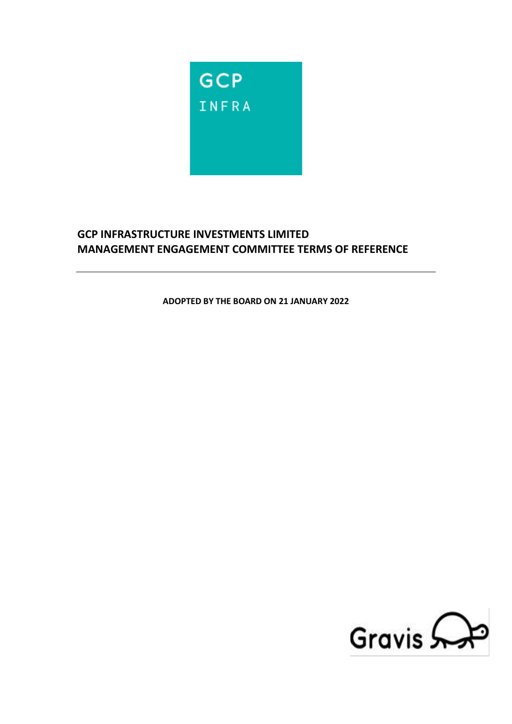

# **GCP INFRASTRUCTURE INVESTMENTS LIMITED MANAGEMENT ENGAGEMENT COMMITTEE TERMS OF REFERENCE**

**ADOPTED BY THE BOARD ON 21 JANUARY 2022**

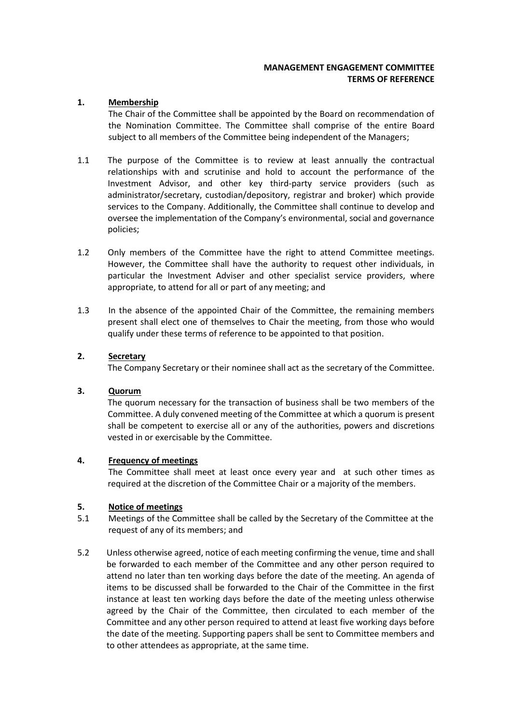### **MANAGEMENT ENGAGEMENT COMMITTEE TERMS OF REFERENCE**

## **1. Membership**

The Chair of the Committee shall be appointed by the Board on recommendation of the Nomination Committee. The Committee shall comprise of the entire Board subject to all members of the Committee being independent of the Managers;

- 1.1 The purpose of the Committee is to review at least annually the contractual relationships with and scrutinise and hold to account the performance of the Investment Advisor, and other key third-party service providers (such as administrator/secretary, custodian/depository, registrar and broker) which provide services to the Company. Additionally, the Committee shall continue to develop and oversee the implementation of the Company's environmental, social and governance policies;
- 1.2 Only members of the Committee have the right to attend Committee meetings. However, the Committee shall have the authority to request other individuals, in particular the Investment Adviser and other specialist service providers, where appropriate, to attend for all or part of any meeting; and
- 1.3 In the absence of the appointed Chair of the Committee, the remaining members present shall elect one of themselves to Chair the meeting, from those who would qualify under these terms of reference to be appointed to that position.

## **2. Secretary**

The Company Secretary or their nominee shall act as the secretary of the Committee.

### **3. Quorum**

The quorum necessary for the transaction of business shall be two members of the Committee. A duly convened meeting of the Committee at which a quorum is present shall be competent to exercise all or any of the authorities, powers and discretions vested in or exercisable by the Committee.

#### **4. Frequency of meetings**

The Committee shall meet at least once every year and at such other times as required at the discretion of the Committee Chair or a majority of the members.

#### **5. Notice of meetings**

- 5.1 Meetings of the Committee shall be called by the Secretary of the Committee at the request of any of its members; and
- 5.2 Unless otherwise agreed, notice of each meeting confirming the venue, time and shall be forwarded to each member of the Committee and any other person required to attend no later than ten working days before the date of the meeting. An agenda of items to be discussed shall be forwarded to the Chair of the Committee in the first instance at least ten working days before the date of the meeting unless otherwise agreed by the Chair of the Committee, then circulated to each member of the Committee and any other person required to attend at least five working days before the date of the meeting. Supporting papers shall be sent to Committee members and to other attendees as appropriate, at the same time.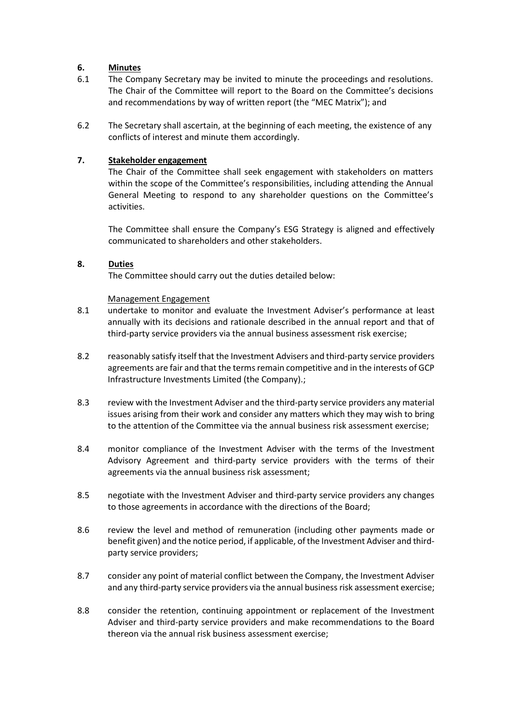#### **6. Minutes**

- 6.1 The Company Secretary may be invited to minute the proceedings and resolutions. The Chair of the Committee will report to the Board on the Committee's decisions and recommendations by way of written report (the "MEC Matrix"); and
- 6.2 The Secretary shall ascertain, at the beginning of each meeting, the existence of any conflicts of interest and minute them accordingly.

## **7. Stakeholder engagement**

The Chair of the Committee shall seek engagement with stakeholders on matters within the scope of the Committee's responsibilities, including attending the Annual General Meeting to respond to any shareholder questions on the Committee's activities.

The Committee shall ensure the Company's ESG Strategy is aligned and effectively communicated to shareholders and other stakeholders.

## **8. Duties**

The Committee should carry out the duties detailed below:

#### Management Engagement

- 8.1 undertake to monitor and evaluate the Investment Adviser's performance at least annually with its decisions and rationale described in the annual report and that of third-party service providers via the annual business assessment risk exercise;
- 8.2 reasonably satisfy itself that the Investment Advisers and third-party service providers agreements are fair and that the terms remain competitive and in the interests of GCP Infrastructure Investments Limited (the Company).;
- 8.3 review with the Investment Adviser and the third-party service providers any material issues arising from their work and consider any matters which they may wish to bring to the attention of the Committee via the annual business risk assessment exercise;
- 8.4 monitor compliance of the Investment Adviser with the terms of the Investment Advisory Agreement and third-party service providers with the terms of their agreements via the annual business risk assessment;
- 8.5 negotiate with the Investment Adviser and third-party service providers any changes to those agreements in accordance with the directions of the Board;
- 8.6 review the level and method of remuneration (including other payments made or benefit given) and the notice period, if applicable, of the Investment Adviser and thirdparty service providers;
- 8.7 consider any point of material conflict between the Company, the Investment Adviser and any third-party service providers via the annual business risk assessment exercise;
- 8.8 consider the retention, continuing appointment or replacement of the Investment Adviser and third-party service providers and make recommendations to the Board thereon via the annual risk business assessment exercise;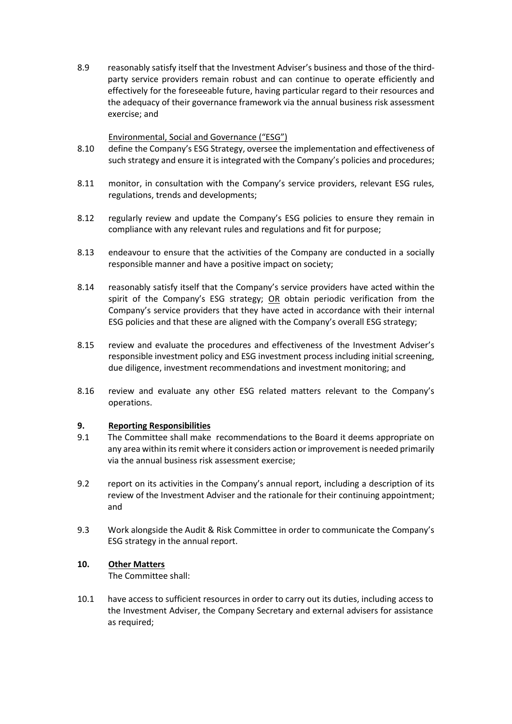8.9 reasonably satisfy itself that the Investment Adviser's business and those of the thirdparty service providers remain robust and can continue to operate efficiently and effectively for the foreseeable future, having particular regard to their resources and the adequacy of their governance framework via the annual business risk assessment exercise; and

## Environmental, Social and Governance ("ESG")

- 8.10 define the Company's ESG Strategy, oversee the implementation and effectiveness of such strategy and ensure it is integrated with the Company's policies and procedures;
- 8.11 monitor, in consultation with the Company's service providers, relevant ESG rules, regulations, trends and developments;
- 8.12 regularly review and update the Company's ESG policies to ensure they remain in compliance with any relevant rules and regulations and fit for purpose;
- 8.13 endeavour to ensure that the activities of the Company are conducted in a socially responsible manner and have a positive impact on society;
- 8.14 reasonably satisfy itself that the Company's service providers have acted within the spirit of the Company's ESG strategy; OR obtain periodic verification from the Company's service providers that they have acted in accordance with their internal ESG policies and that these are aligned with the Company's overall ESG strategy;
- 8.15 review and evaluate the procedures and effectiveness of the Investment Adviser's responsible investment policy and ESG investment process including initial screening, due diligence, investment recommendations and investment monitoring; and
- 8.16 review and evaluate any other ESG related matters relevant to the Company's operations.

#### **9. Reporting Responsibilities**

- 9.1 The Committee shall make recommendations to the Board it deems appropriate on any area within its remit where it considers action or improvement is needed primarily via the annual business risk assessment exercise;
- 9.2 report on its activities in the Company's annual report, including a description of its review of the Investment Adviser and the rationale for their continuing appointment; and
- 9.3 Work alongside the Audit & Risk Committee in order to communicate the Company's ESG strategy in the annual report.

#### **10. Other Matters**

The Committee shall:

10.1 have access to sufficient resources in order to carry out its duties, including access to the Investment Adviser, the Company Secretary and external advisers for assistance as required;